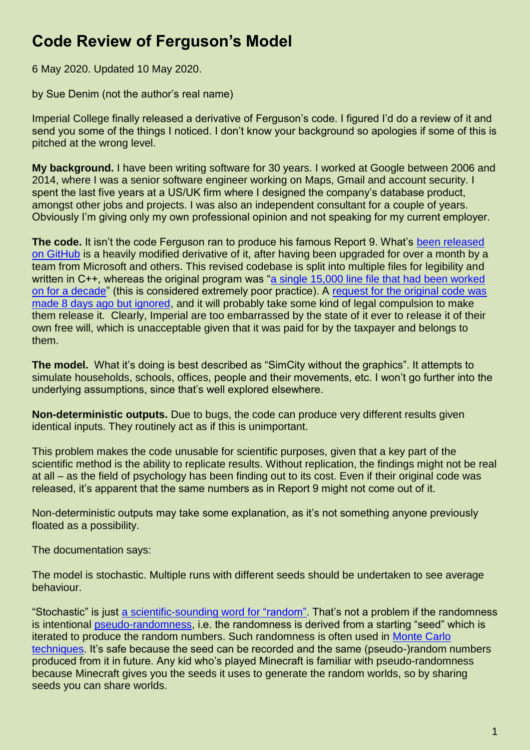## **Code Review of Ferguson's Model**

6 May 2020. Updated 10 May 2020.

by Sue Denim (not the author's real name)

Imperial College finally released a derivative of Ferguson's code. I figured I'd do a review of it and send you some of the things I noticed. I don't know your background so apologies if some of this is pitched at the wrong level.

**My background.** I have been writing software for 30 years. I worked at Google between 2006 and 2014, where I was a senior software engineer working on Maps, Gmail and account security. I spent the last five years at a US/UK firm where I designed the company's database product, amongst other jobs and projects. I was also an independent consultant for a couple of years. Obviously I'm giving only my own professional opinion and not speaking for my current employer.

**The code.** It isn't the code Ferguson ran to produce his famous Report 9. What's [been released](https://github.com/mrc-ide/covid-sim)  [on GitHub](https://github.com/mrc-ide/covid-sim) is a heavily modified derivative of it, after having been upgraded for over a month by a team from Microsoft and others. This revised codebase is split into multiple files for legibility and written in C++, whereas the original program was "a single 15,000 line file that had been worked [on for a decade"](https://twitter.com/ID_AA_Carmack/status/1254872369556074496) (this is considered extremely poor practice). A [request for the original code was](https://github.com/mrc-ide/covid-sim/issues/144)  [made 8 days ago but ignored,](https://github.com/mrc-ide/covid-sim/issues/144) and it will probably take some kind of legal compulsion to make them release it. Clearly, Imperial are too embarrassed by the state of it ever to release it of their own free will, which is unacceptable given that it was paid for by the taxpayer and belongs to them.

**The model.** What it's doing is best described as "SimCity without the graphics". It attempts to simulate households, schools, offices, people and their movements, etc. I won't go further into the underlying assumptions, since that's well explored elsewhere.

**Non-deterministic outputs.** Due to bugs, the code can produce very different results given identical inputs. They routinely act as if this is unimportant.

This problem makes the code unusable for scientific purposes, given that a key part of the scientific method is the ability to replicate results. Without replication, the findings might not be real at all – as the field of psychology has been finding out to its cost. Even if their original code was released, it's apparent that the same numbers as in Report 9 might not come out of it.

Non-deterministic outputs may take some explanation, as it's not something anyone previously floated as a possibility.

The documentation says:

The model is stochastic. Multiple runs with different seeds should be undertaken to see average behaviour.

"Stochastic" is just [a scientific-sounding word for "random".](https://en.wikipedia.org/wiki/Stochastic) That's not a problem if the randomness is intentional [pseudo-randomness,](https://en.wikipedia.org/wiki/Pseudorandomness) i.e. the randomness is derived from a starting "seed" which is iterated to produce the random numbers. Such randomness is often used in [Monte Carlo](https://en.wikipedia.org/wiki/Monte_Carlo_method)  [techniques.](https://en.wikipedia.org/wiki/Monte_Carlo_method) It's safe because the seed can be recorded and the same (pseudo-)random numbers produced from it in future. Any kid who's played Minecraft is familiar with pseudo-randomness because Minecraft gives you the seeds it uses to generate the random worlds, so by sharing seeds you can share worlds.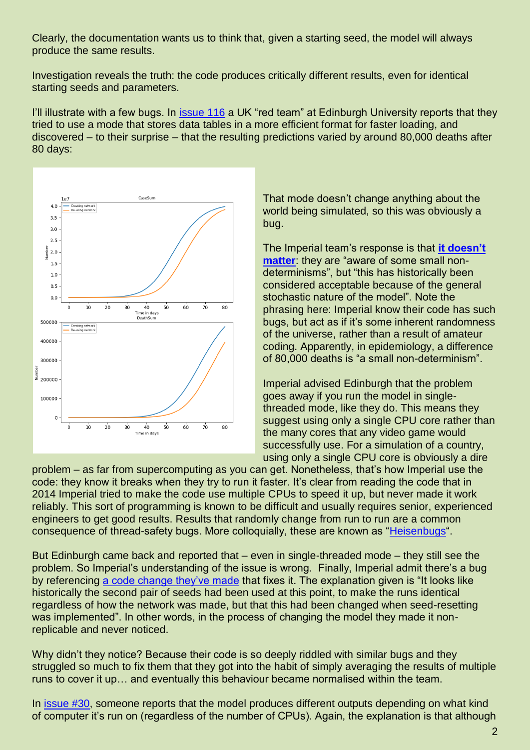Clearly, the documentation wants us to think that, given a starting seed, the model will always produce the same results.

Investigation reveals the truth: the code produces critically different results, even for identical starting seeds and parameters.

I'll illustrate with a few bugs. In [issue 116](https://github.com/mrc-ide/covid-sim/issues/116) a UK "red team" at Edinburgh University reports that they tried to use a mode that stores data tables in a more efficient format for faster loading, and discovered – to their surprise – that the resulting predictions varied by around 80,000 deaths after 80 days:



That mode doesn't change anything about the world being simulated, so this was obviously a bug.

The Imperial team's response is that **[it doesn't](https://github.com/mrc-ide/covid-sim/issues/116#issuecomment-617304550)  [matter](https://github.com/mrc-ide/covid-sim/issues/116#issuecomment-617304550)**: they are "aware of some small nondeterminisms", but "this has historically been considered acceptable because of the general stochastic nature of the model". Note the phrasing here: Imperial know their code has such bugs, but act as if it's some inherent randomness of the universe, rather than a result of amateur coding. Apparently, in epidemiology, a difference of 80,000 deaths is "a small non-determinism".

Imperial advised Edinburgh that the problem goes away if you run the model in singlethreaded mode, like they do. This means they suggest using only a single CPU core rather than the many cores that any video game would successfully use. For a simulation of a country, using only a single CPU core is obviously a dire

problem – as far from supercomputing as you can get. Nonetheless, that's how Imperial use the code: they know it breaks when they try to run it faster. It's clear from reading the code that in 2014 Imperial tried to make the code use multiple CPUs to speed it up, but never made it work reliably. This sort of programming is known to be difficult and usually requires senior, experienced engineers to get good results. Results that randomly change from run to run are a common consequence of thread-safety bugs. More colloquially, these are known as ["Heisenbugs"](https://en.wikipedia.org/wiki/Heisenbug).

But Edinburgh came back and reported that – even in single-threaded mode – they still see the problem. So Imperial's understanding of the issue is wrong. Finally, Imperial admit there's a bug by referencing [a code change they've made](https://github.com/mrc-ide/covid-sim/pull/121) that fixes it. The explanation given is "It looks like historically the second pair of seeds had been used at this point, to make the runs identical regardless of how the network was made, but that this had been changed when seed-resetting was implemented". In other words, in the process of changing the model they made it nonreplicable and never noticed.

Why didn't they notice? Because their code is so deeply riddled with similar bugs and they struggled so much to fix them that they got into the habit of simply averaging the results of multiple runs to cover it up… and eventually this behaviour became normalised within the team.

In [issue #30,](https://github.com/mrc-ide/covid-sim/issues/30) someone reports that the model produces different outputs depending on what kind of computer it's run on (regardless of the number of CPUs). Again, the explanation is that although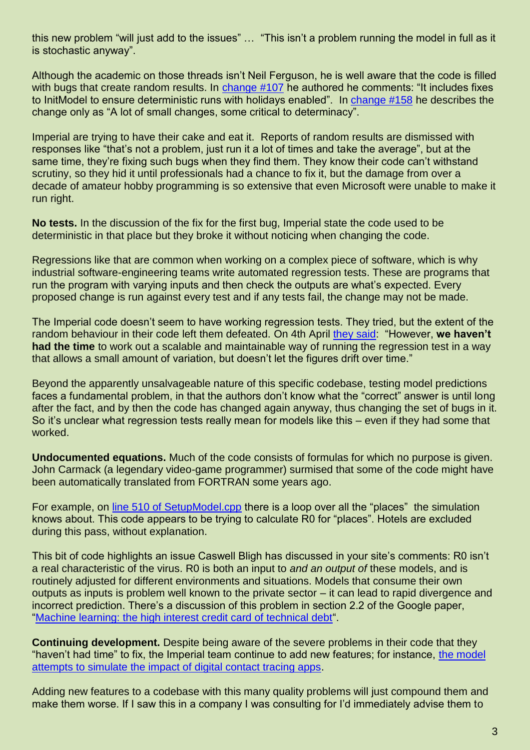this new problem "will just add to the issues" … "This isn't a problem running the model in full as it is stochastic anyway".

Although the academic on those threads isn't Neil Ferguson, he is well aware that the code is filled with bugs that create random results. In [change #107](https://github.com/mrc-ide/covid-sim/pull/107) he authored he comments: "It includes fixes to InitModel to ensure deterministic runs with holidays enabled". In [change #158](https://github.com/mrc-ide/covid-sim/pull/158) he describes the change only as "A lot of small changes, some critical to determinacy".

Imperial are trying to have their cake and eat it. Reports of random results are dismissed with responses like "that's not a problem, just run it a lot of times and take the average", but at the same time, they're fixing such bugs when they find them. They know their code can't withstand scrutiny, so they hid it until professionals had a chance to fix it, but the damage from over a decade of amateur hobby programming is so extensive that even Microsoft were unable to make it run right.

**No tests.** In the discussion of the fix for the first bug, Imperial state the code used to be deterministic in that place but they broke it without noticing when changing the code.

Regressions like that are common when working on a complex piece of software, which is why industrial software-engineering teams write automated regression tests. These are programs that run the program with varying inputs and then check the outputs are what's expected. Every proposed change is run against every test and if any tests fail, the change may not be made.

The Imperial code doesn't seem to have working regression tests. They tried, but the extent of the random behaviour in their code left them defeated. On 4th April [they said:](https://github.com/mrc-ide/covid-sim/issues/30#issuecomment-609060045) "However, **we haven't had the time** to work out a scalable and maintainable way of running the regression test in a way that allows a small amount of variation, but doesn't let the figures drift over time."

Beyond the apparently unsalvageable nature of this specific codebase, testing model predictions faces a fundamental problem, in that the authors don't know what the "correct" answer is until long after the fact, and by then the code has changed again anyway, thus changing the set of bugs in it. So it's unclear what regression tests really mean for models like this – even if they had some that worked.

**Undocumented equations.** Much of the code consists of formulas for which no purpose is given. John Carmack (a legendary video-game programmer) surmised that some of the code might have been automatically translated from FORTRAN some years ago.

For example, on [line 510 of SetupModel.cpp](https://github.com/mrc-ide/covid-sim/blob/master/src/SetupModel.cpp#L510) there is a loop over all the "places" the simulation knows about. This code appears to be trying to calculate R0 for "places". Hotels are excluded during this pass, without explanation.

This bit of code highlights an issue Caswell Bligh has discussed in your site's comments: R0 isn't a real characteristic of the virus. R0 is both an input to *and an output of* these models, and is routinely adjusted for different environments and situations. Models that consume their own outputs as inputs is problem well known to the private sector – it can lead to rapid divergence and incorrect prediction. There's a discussion of this problem in section 2.2 of the Google paper, ["Machine learning: the high interest credit card of technical debt"](https://storage.googleapis.com/pub-tools-public-publication-data/pdf/43146.pdf).

**Continuing development.** Despite being aware of the severe problems in their code that they "haven't had time" to fix, the Imperial team continue to add new features; for instance, [the model](https://github.com/mrc-ide/covid-sim/blob/master/src/SetupModel.cpp#L427)  [attempts to simulate the impact of digital contact tracing apps.](https://github.com/mrc-ide/covid-sim/blob/master/src/SetupModel.cpp#L427)

Adding new features to a codebase with this many quality problems will just compound them and make them worse. If I saw this in a company I was consulting for I'd immediately advise them to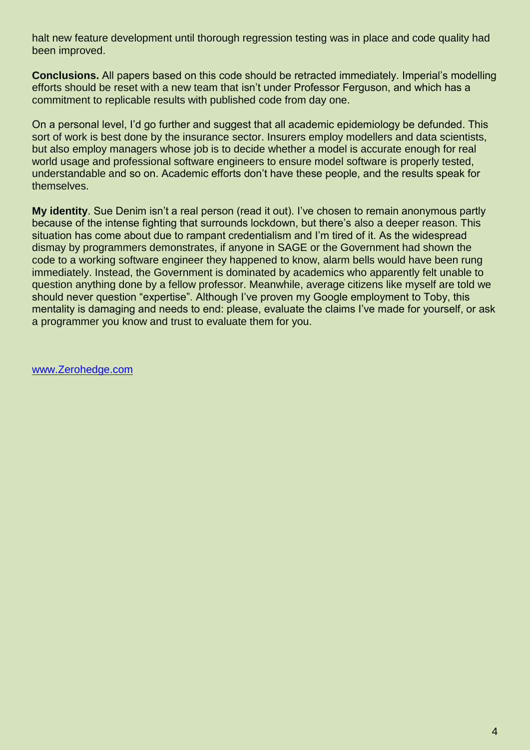halt new feature development until thorough regression testing was in place and code quality had been improved.

**Conclusions.** All papers based on this code should be retracted immediately. Imperial's modelling efforts should be reset with a new team that isn't under Professor Ferguson, and which has a commitment to replicable results with published code from day one.

On a personal level, I'd go further and suggest that all academic epidemiology be defunded. This sort of work is best done by the insurance sector. Insurers employ modellers and data scientists, but also employ managers whose job is to decide whether a model is accurate enough for real world usage and professional software engineers to ensure model software is properly tested, understandable and so on. Academic efforts don't have these people, and the results speak for themselves.

**My identity**. Sue Denim isn't a real person (read it out). I've chosen to remain anonymous partly because of the intense fighting that surrounds lockdown, but there's also a deeper reason. This situation has come about due to rampant credentialism and I'm tired of it. As the widespread dismay by programmers demonstrates, if anyone in SAGE or the Government had shown the code to a working software engineer they happened to know, alarm bells would have been rung immediately. Instead, the Government is dominated by academics who apparently felt unable to question anything done by a fellow professor. Meanwhile, average citizens like myself are told we should never question "expertise". Although I've proven my Google employment to Toby, this mentality is damaging and needs to end: please, evaluate the claims I've made for yourself, or ask a programmer you know and trust to evaluate them for you.

[www.Zerohedge.com](http://www.zerohedge.com/)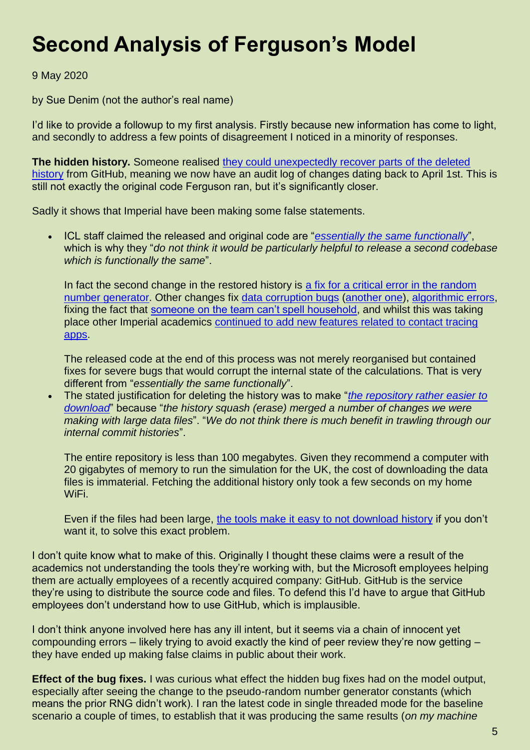## **Second Analysis of Ferguson's Model**

9 May 2020

by Sue Denim (not the author's real name)

I'd like to provide a followup to my first analysis. Firstly because new information has come to light, and secondly to address a few points of disagreement I noticed in a minority of responses.

**The hidden history.** Someone realised [they could unexpectedly recover parts](https://github.com/mrc-ide/covid-sim/issues/144#issuecomment-624929106) of the deleted [history](https://github.com/mrc-ide/covid-sim/issues/144#issuecomment-624929106) from GitHub, meaning we now have an audit log of changes dating back to April 1st. This is still not exactly the original code Ferguson ran, but it's significantly closer.

Sadly it shows that Imperial have been making some false statements.

 ICL staff claimed the released and original code are "*[essentially the same functionally](https://github.com/mrc-ide/covid-sim/issues/144#issuecomment-625151694)*", which is why they "*do not think it would be particularly helpful to release a second codebase which is functionally the same*".

In fact the second change in the restored history is a fix for a critical error in the random [number generator.](https://github.com/mrc-ide/covid-sim/commit/7902c37f69b52cd7c8b72f4e1f84f2e6676d0661) Other changes fix [data corruption bugs](https://github.com/mrc-ide/covid-sim/commit/581ca0d8a12cddbd106a580beb9f5e56dbf3e94f) [\(another one\)](https://github.com/mrc-ide/covid-sim/commit/facc5127b35b71ab9b6208961e08138f56448643), [algorithmic errors,](https://github.com/mrc-ide/covid-sim/commit/3d4e9a4ee633764ce927aecfbbcaa7091f3c1b98) fixing the fact that [someone on the team can't spell household,](https://github.com/mrc-ide/covid-sim/commit/62a13b68538c8b9bb880d15fdcf5f193fb27885a) and whilst this was taking place other Imperial academics [continued to add new features related to contact tracing](https://github.com/mrc-ide/covid-sim/commit/96ecd9fe3f84d791f57439c3e201c11c83754520) [apps.](https://github.com/mrc-ide/covid-sim/commit/96ecd9fe3f84d791f57439c3e201c11c83754520)

The released code at the end of this process was not merely reorganised but contained fixes for severe bugs that would corrupt the internal state of the calculations. That is very different from "*essentially the same functionally*".

 The stated justification for deleting the history was to make "*[the repository rather easier to](https://github.com/mrc-ide/covid-sim/issues/144#issuecomment-625151694)  [download](https://github.com/mrc-ide/covid-sim/issues/144#issuecomment-625151694)*" because "*the history squash (erase) merged a number of changes we were making with large data files*". "*We do not think there is much benefit in trawling through our internal commit histories*".

The entire repository is less than 100 megabytes. Given they recommend a computer with 20 gigabytes of memory to run the simulation for the UK, the cost of downloading the data files is immaterial. Fetching the additional history only took a few seconds on my home WiFi.

Even if the files had been large, [the tools make it easy to not download history](https://linuxhint.com/git-shallow-clone-and-clone-depth/) if you don't want it, to solve this exact problem.

I don't quite know what to make of this. Originally I thought these claims were a result of the academics not understanding the tools they're working with, but the Microsoft employees helping them are actually employees of a recently acquired company: GitHub. GitHub is the service they're using to distribute the source code and files. To defend this I'd have to argue that GitHub employees don't understand how to use GitHub, which is implausible.

I don't think anyone involved here has any ill intent, but it seems via a chain of innocent yet compounding errors – likely trying to avoid exactly the kind of peer review they're now getting – they have ended up making false claims in public about their work.

**Effect of the bug fixes.** I was curious what effect the hidden bug fixes had on the model output, especially after seeing the change to the pseudo-random number generator constants (which means the prior RNG didn't work). I ran the latest code in single threaded mode for the baseline scenario a couple of times, to establish that it was producing the same results (*on my machine*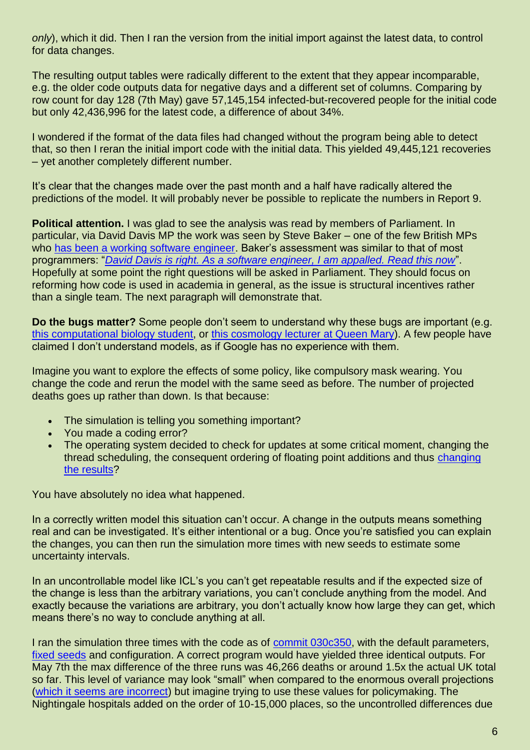*only*), which it did. Then I ran the version from the initial import against the latest data, to control for data changes.

The resulting output tables were radically different to the extent that they appear incomparable, e.g. the older code outputs data for negative days and a different set of columns. Comparing by row count for day 128 (7th May) gave 57,145,154 infected-but-recovered people for the initial code but only 42,436,996 for the latest code, a difference of about 34%.

I wondered if the format of the data files had changed without the program being able to detect that, so then I reran the initial import code with the initial data. This yielded 49,445,121 recoveries – yet another completely different number.

It's clear that the changes made over the past month and a half have radically altered the predictions of the model. It will probably never be possible to replicate the numbers in Report 9.

**Political attention.** I was glad to see the analysis was read by members of Parliament. In particular, via David Davis MP the work was seen by Steve Baker – one of the few British MPs who [has been a working software engineer.](https://en.wikipedia.org/wiki/Steve_Baker_(politician)#Early_life_and_career) Baker's assessment was similar to that of most programmers: "*David Davis [is right. As a software engineer, I am appalled. Read this now](https://twitter.com/SteveBakerHW/status/1258165810629087232)*". Hopefully at some point the right questions will be asked in Parliament. They should focus on reforming how code is used in academia in general, as the issue is structural incentives rather than a single team. The next paragraph will demonstrate that.

**Do the bugs matter?** Some people don't seem to understand why these bugs are important (e.g. [this computational biology student,](https://twitter.com/franciswindram/status/1258781597987418112) or [this cosmology lecturer at Queen Mary\)](https://twitter.com/philipbull/status/1258352624493101057). A few people have claimed I don't understand models, as if Google has no experience with them.

Imagine you want to explore the effects of some policy, like compulsory mask wearing. You change the code and rerun the model with the same seed as before. The number of projected deaths goes up rather than down. Is that because:

- The simulation is telling you something important?
- You made a coding error?
- The operating system decided to check for updates at some critical moment, changing the thread scheduling, the consequent ordering of floating point additions and thus [changing](https://stackoverflow.com/questions/10371857/is-floating-point-addition-and-multiplication-associative)  [the results?](https://stackoverflow.com/questions/10371857/is-floating-point-addition-and-multiplication-associative)

You have absolutely no idea what happened.

In a correctly written model this situation can't occur. A change in the outputs means something real and can be investigated. It's either intentional or a bug. Once you're satisfied you can explain the changes, you can then run the simulation more times with new seeds to estimate some uncertainty intervals.

In an uncontrollable model like ICL's you can't get repeatable results and if the expected size of the change is less than the arbitrary variations, you can't conclude anything from the model. And exactly because the variations are arbitrary, you don't actually know how large they can get, which means there's no way to conclude anything at all.

I ran the simulation three times with the code as of [commit 030c350,](https://github.com/mrc-ide/covid-sim/commit/030c35001755fd33a6eaad038c72ff8541de410f) with the default parameters, [fixed seeds](https://github.com/mrc-ide/covid-sim/blob/master/data/run_sample.py#L229) and configuration. A correct program would have yielded three identical outputs. For May 7th the max difference of the three runs was 46,266 deaths or around 1.5x the actual UK total so far. This level of variance may look "small" when compared to the enormous overall projections [\(which it seems are incorrect\)](https://antiempire.b-cdn.net/wp-content/uploads/2020/04/Sweden-Imperial-College.png) but imagine trying to use these values for policymaking. The Nightingale hospitals added on the order of 10-15,000 places, so the uncontrolled differences due